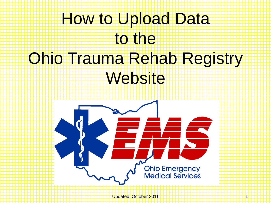## How to Upload Data to the Ohio Trauma Rehab Registry Website



Updated: October 2011 1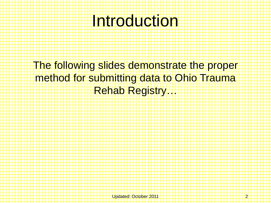## Introduction

The following slides demonstrate the proper method for submitting data to Ohio Trauma Rehab Registry…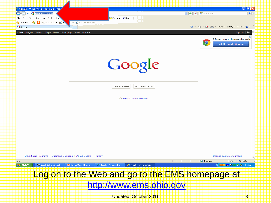| C Google - Windows Internet Explorer                                                                              | loll<br>a a                                                   |  |
|-------------------------------------------------------------------------------------------------------------------|---------------------------------------------------------------|--|
| Www.ems.ohio.gov<br>œ,<br>$\Rightarrow$                                                                           | $\vee$ $\rightarrow$ $\times$ $\mathbb{Z}$ Live Search<br>- م |  |
| Capture ? Help<br>Edit<br>View<br>Favorites Tools Help<br>File                                                    | m                                                             |  |
| <b>Favorites</b><br>Suggested Sites v 2 FM<br>tmail ( Web Slice Gallery v<br>✿                                    | .                                                             |  |
| .<br><b>S</b> Google                                                                                              |                                                               |  |
| Web Images Videos Maps News Shopping Gmail more -                                                                 | ₩<br>Sign in                                                  |  |
|                                                                                                                   |                                                               |  |
|                                                                                                                   | A faster way to browse the web<br>$\circ$                     |  |
|                                                                                                                   | <b>Install Google Chrome</b>                                  |  |
|                                                                                                                   |                                                               |  |
|                                                                                                                   |                                                               |  |
|                                                                                                                   |                                                               |  |
|                                                                                                                   |                                                               |  |
| Google                                                                                                            |                                                               |  |
|                                                                                                                   |                                                               |  |
|                                                                                                                   |                                                               |  |
|                                                                                                                   |                                                               |  |
| Google Search                                                                                                     | I'm Feeling Lucky                                             |  |
|                                                                                                                   |                                                               |  |
| Make Google my homepage                                                                                           |                                                               |  |
|                                                                                                                   |                                                               |  |
|                                                                                                                   |                                                               |  |
|                                                                                                                   |                                                               |  |
|                                                                                                                   |                                                               |  |
|                                                                                                                   |                                                               |  |
|                                                                                                                   |                                                               |  |
|                                                                                                                   |                                                               |  |
|                                                                                                                   |                                                               |  |
|                                                                                                                   |                                                               |  |
|                                                                                                                   |                                                               |  |
|                                                                                                                   |                                                               |  |
|                                                                                                                   |                                                               |  |
| Advertising Programs   Business Solutions   About Google   Privacy                                                | Change background image                                       |  |
| Done                                                                                                              | <b>O</b> Internet<br>$\frac{1}{2}$ $\sqrt{2}$ 100% $\sqrt{2}$ |  |
| <b><i>Start</i></b><br><mark>्ष्य</mark> Novell-delivered Appli<br>P How to Upload Data t<br>Google - Windows Int | <b>OSOOD OS</b> & 6:38 AM<br>Google - Windows Int             |  |
|                                                                                                                   |                                                               |  |
| Log on to the Web and go to the EMS homepage at                                                                   |                                                               |  |
|                                                                                                                   |                                                               |  |
| http://www.ems.ohio.gov                                                                                           |                                                               |  |
|                                                                                                                   |                                                               |  |
| Updated: October 2011                                                                                             | 3                                                             |  |
|                                                                                                                   |                                                               |  |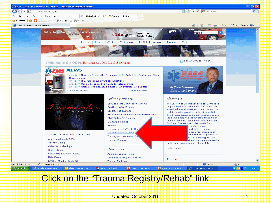

## Click on the "Trauma Registry/Rehab" link

Updated: October 2011 4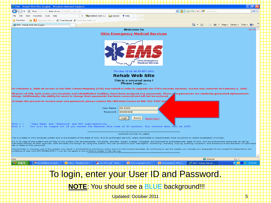| C EMS - Rehab Web Site (Login) - Windows Internet Explorer                                                                                                                                                                                                                                                                            |  |
|---------------------------------------------------------------------------------------------------------------------------------------------------------------------------------------------------------------------------------------------------------------------------------------------------------------------------------------|--|
|                                                                                                                                                                                                                                                                                                                                       |  |
| <b>e</b> https://www.dps.state.oh.us/rehab/AGR_Login.aspx                                                                                                                                                                                                                                                                             |  |
| X The EndNote Web 3.2 capture ? Help<br>Edit<br>View<br>Favorites Tools Help                                                                                                                                                                                                                                                          |  |
| Suggested Sites $\bullet$ <b>C</b> Free Hotmail <b>C</b> Web Slice Gallery $\bullet$<br>$\sqrt{\phantom{a}}$ Favorites<br>÷                                                                                                                                                                                                           |  |
| G - 61<br>□ ● ▼ Page ▼ Safety ▼ Tools ▼<br>EMS - Rehab Web Site (Login)                                                                                                                                                                                                                                                               |  |
| <b>Welcome to</b><br>00:39                                                                                                                                                                                                                                                                                                            |  |
| <b>Ohio Emergency Medical Services</b>                                                                                                                                                                                                                                                                                                |  |
|                                                                                                                                                                                                                                                                                                                                       |  |
|                                                                                                                                                                                                                                                                                                                                       |  |
|                                                                                                                                                                                                                                                                                                                                       |  |
|                                                                                                                                                                                                                                                                                                                                       |  |
|                                                                                                                                                                                                                                                                                                                                       |  |
| <b>Ohio Emergency</b>                                                                                                                                                                                                                                                                                                                 |  |
| <b>Medical Services</b>                                                                                                                                                                                                                                                                                                               |  |
|                                                                                                                                                                                                                                                                                                                                       |  |
| Thu Sep 22 02:36:55 EDT 2011                                                                                                                                                                                                                                                                                                          |  |
| <b>Rehab Web Site</b>                                                                                                                                                                                                                                                                                                                 |  |
| This is a secured area!                                                                                                                                                                                                                                                                                                               |  |
| Please Login                                                                                                                                                                                                                                                                                                                          |  |
| On February 6, 2006 all access to the Ohio Trauma Registry (OTR) was halted in order to upgrade the OTR's security systems. Access was restored on February 8, 2006.                                                                                                                                                                  |  |
| All users of OTR, both acute care hospitals and rehabilitation facilities, have been assigned new passwords. These rew passwords are randomly generated alphanumeric                                                                                                                                                                  |  |
| strings. Additionally, the ability for users to change their passwords has been removed and will not be restored.                                                                                                                                                                                                                     |  |
| To begin the process to receive your new password, please contact the EMS Data Center at 800-233-0785 bet                                                                                                                                                                                                                             |  |
|                                                                                                                                                                                                                                                                                                                                       |  |
| User Name: 99-E200<br>Password : <b>essessed</b>                                                                                                                                                                                                                                                                                      |  |
|                                                                                                                                                                                                                                                                                                                                       |  |
| Login<br>Reset<br>Need Help?                                                                                                                                                                                                                                                                                                          |  |
| 'User Name' and 'Password' are NOT case-sensitive.<br>$\frac{7}{10}$                                                                                                                                                                                                                                                                  |  |
| Tote 2 :<br>You will be logged out if you exceed the Maximum Idle time of 20 minutes. Any unsaved data will be LOST.                                                                                                                                                                                                                  |  |
| <b>WARNING NOTICE TO USERS</b>                                                                                                                                                                                                                                                                                                        |  |
| This is a State of Ohio computer system and is the property of the State of Ohio. It is for authorized use only. Users (authorized or unauthorized) have no explicit or implicit expectation of privacy.                                                                                                                              |  |
| Any or all uses of this system and all files on this system may be intercepted, monitored, recorded, copied, audited, inspected, and disclosed to authorized site, State of Ohio, and law enforcement personnel, as well as                                                                                                           |  |
| authorized officials of other agencies, both domestic and foreign. By using this system, the user consents to such interception, monitoring, recording, copying, auditing, inspection, and disclosure at the discretion of aut<br>site or State of Ohio personnel.                                                                    |  |
| Unauthorized or improper use of this system may result in administrative disciplinary action and civil and criminal penalties. By continuing to use this system you indicate your awareness of and consent to these terms and<br>conditions of use. LOG OFF IMMEDIATELY if you do not agree to the conditions stated in this warning. |  |
|                                                                                                                                                                                                                                                                                                                                       |  |
| to Internet<br>Done<br>$\sqrt{a}$                                                                                                                                                                                                                                                                                                     |  |
| ◇ O 40 → E 8:25 AM<br><b>SO</b> Novell-delivered Appli.<br>July 2011.pdf - Adob<br>P How to upload to OT<br>EMS - Rehab Web Sit<br><b>A</b> start<br>O Inbox - Elizabeth.Earl<br>P Presentation1 - Micro                                                                                                                              |  |
|                                                                                                                                                                                                                                                                                                                                       |  |
|                                                                                                                                                                                                                                                                                                                                       |  |
| To login, enter your User ID and Password.                                                                                                                                                                                                                                                                                            |  |
|                                                                                                                                                                                                                                                                                                                                       |  |
| NOTE: You should see a BLUE background!!!                                                                                                                                                                                                                                                                                             |  |
|                                                                                                                                                                                                                                                                                                                                       |  |
|                                                                                                                                                                                                                                                                                                                                       |  |
| <b>Updated: October 2011</b><br>5.                                                                                                                                                                                                                                                                                                    |  |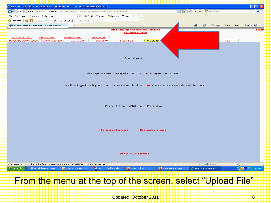

Updated: October 2011 6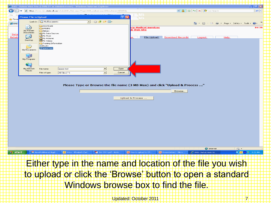|                        |                              |                                       |                           | C EMS - Rehab Web Site (LEARLEY as Administrator) - Windows Internet Explorer         |                        |                           |                         |                                                           | $\Box$ $\Box$ $\mathbb{R}$  |
|------------------------|------------------------------|---------------------------------------|---------------------------|---------------------------------------------------------------------------------------|------------------------|---------------------------|-------------------------|-----------------------------------------------------------|-----------------------------|
| G                      |                              |                                       |                           | https://www.dps.state.oh.us/rehab/AGR_Main.aspx?Page=AGR_Upload.aspx&MenuName=GENERAL |                        |                           |                         | <b>March &amp; + X A</b> Live Search                      | - ا هر                      |
|                        | <b>Choose File to Upload</b> |                                       |                           |                                                                                       | $\boxed{?}$ [ $\times$ |                           |                         |                                                           |                             |
| <b>Tr</b> Favo         |                              |                                       |                           |                                                                                       |                        |                           |                         |                                                           |                             |
| <b>CEMS</b>            |                              | Look in: <b>B</b> My Documents        |                           | $O$ $B$ $P$ $\Pi$<br>$\vert \cdot \vert$                                              |                        |                           |                         | 企 5afety → Tools →                                        |                             |
|                        |                              | Downloads<br>EMSIRS                   |                           |                                                                                       |                        | <u>y Medical Services</u> |                         |                                                           | 16:36                       |
|                        | My Recent<br>Documents       | History                               |                           |                                                                                       |                        | b Web Site                |                         |                                                           |                             |
| Data<br>Rehab          | C                            | <b>ed</b> My Data Sources<br>My Music |                           |                                                                                       |                        | File Upload               | <b>Download Records</b> | Help                                                      |                             |
|                        | Desktop                      | 몰 My Pictures<br>My Videos            |                           |                                                                                       |                        |                           |                         | Logout                                                    |                             |
|                        |                              | Training Information                  |                           |                                                                                       |                        |                           |                         |                                                           |                             |
|                        | ≫                            | $\mathbf{B}$ Book1<br>space test      |                           |                                                                                       |                        |                           |                         |                                                           |                             |
|                        | My Documents                 |                                       |                           |                                                                                       |                        |                           |                         |                                                           |                             |
|                        | 一                            |                                       |                           |                                                                                       |                        |                           |                         |                                                           |                             |
|                        | My Computer                  |                                       |                           |                                                                                       |                        |                           |                         |                                                           |                             |
|                        |                              |                                       |                           |                                                                                       |                        |                           |                         |                                                           |                             |
|                        | My Network                   | File name:                            | space test                | 그                                                                                     | Open                   |                           |                         |                                                           |                             |
|                        | Places                       | Files of type:                        | All Files (".")           | $\blacksquare$                                                                        | Cancel                 |                           |                         |                                                           |                             |
|                        |                              |                                       |                           |                                                                                       |                        |                           |                         |                                                           |                             |
|                        |                              |                                       |                           |                                                                                       |                        |                           |                         |                                                           |                             |
|                        |                              |                                       |                           | Please Type or Browse the file name (3 MB Max) and click "Upload & Process "          |                        |                           |                         |                                                           |                             |
|                        |                              |                                       |                           |                                                                                       |                        |                           |                         |                                                           |                             |
|                        |                              |                                       |                           |                                                                                       |                        |                           | Browse.                 |                                                           |                             |
|                        |                              |                                       |                           |                                                                                       |                        |                           |                         |                                                           |                             |
|                        |                              |                                       |                           |                                                                                       |                        | Upload & Process          |                         |                                                           |                             |
|                        |                              |                                       |                           |                                                                                       |                        |                           |                         |                                                           |                             |
|                        |                              |                                       |                           |                                                                                       |                        |                           |                         |                                                           |                             |
|                        |                              |                                       |                           |                                                                                       |                        |                           |                         |                                                           |                             |
|                        |                              |                                       |                           |                                                                                       |                        |                           |                         |                                                           |                             |
|                        |                              |                                       |                           |                                                                                       |                        |                           |                         |                                                           |                             |
|                        |                              |                                       |                           |                                                                                       |                        |                           |                         |                                                           |                             |
|                        |                              |                                       |                           |                                                                                       |                        |                           |                         |                                                           |                             |
|                        |                              |                                       |                           |                                                                                       |                        |                           |                         |                                                           |                             |
|                        |                              |                                       |                           |                                                                                       |                        |                           |                         |                                                           |                             |
|                        |                              |                                       |                           |                                                                                       |                        |                           |                         |                                                           |                             |
|                        |                              |                                       |                           |                                                                                       |                        |                           |                         |                                                           |                             |
|                        |                              |                                       |                           |                                                                                       |                        |                           |                         |                                                           |                             |
| <b><i>Ly</i></b> start |                              | Novell-delivered Appli.               | 1 Inbox - Elizabeth.Earl. | July 2011.pdf - Adob.                                                                 |                        | P How to upload to OT     | P Presentation1 - Micro | <b>O</b> Internet<br>EMS - Rehab Web Sit                  | $\sqrt{a}$<br>COM E 8:31 AM |
|                        |                              |                                       |                           |                                                                                       |                        |                           |                         |                                                           |                             |
|                        |                              |                                       |                           |                                                                                       |                        |                           |                         |                                                           |                             |
|                        |                              |                                       |                           |                                                                                       |                        |                           |                         | Either type in the name and location of the file you wish |                             |
|                        |                              |                                       |                           |                                                                                       |                        |                           |                         |                                                           |                             |
|                        |                              |                                       |                           |                                                                                       |                        |                           |                         |                                                           |                             |
|                        |                              |                                       |                           |                                                                                       |                        |                           |                         | to upload or click the 'Browse' button to open a standard |                             |
|                        |                              |                                       |                           |                                                                                       |                        |                           |                         |                                                           |                             |
|                        |                              |                                       |                           |                                                                                       |                        |                           |                         |                                                           |                             |
|                        |                              |                                       |                           | Windows browse box to find the file.                                                  |                        |                           |                         |                                                           |                             |
|                        |                              |                                       |                           |                                                                                       |                        |                           |                         |                                                           |                             |
|                        |                              |                                       |                           |                                                                                       |                        |                           |                         |                                                           |                             |
|                        |                              |                                       |                           |                                                                                       |                        | Updated: October 2011     |                         |                                                           |                             |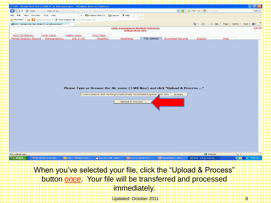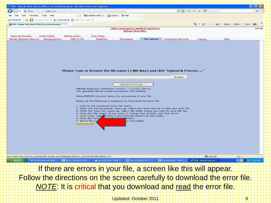| E EMS - Rehab Web Site (LEARLEY as Administrator) - Windows Internet Explorer<br>匝                                                                                                          |
|---------------------------------------------------------------------------------------------------------------------------------------------------------------------------------------------|
| $\mathbf{E}[\mathbf{E}][\mathbf{E}][\mathbf{E}][\mathbf{E}][\mathbf{E}]$ Live Search<br>- ∣ م<br>https://www.dps.state.oh.us/rehab/AGR_Main.aspx?Page=AGR_Upload.aspx&MenuName=GENERAL      |
| X The EndNote Web 3.2 Supplier ? Help<br>File<br>Edit<br>View<br>Eavorites Tools Help                                                                                                       |
| Suggested Sites $\bullet$ <b>C</b> Free Hotmail <b>C</b> Web Slice Gallery $\bullet$<br><b>Favorites</b><br>չ≞                                                                              |
| <u>ি ।</u><br>* Page * Safety * Tools<br>EMS - Rehab Web Site (LEARLEY as Administrator)                                                                                                    |
| <b>Ohio Emergency Medical Services</b><br>19:50                                                                                                                                             |
| <b>Rehab Web Site</b>                                                                                                                                                                       |
| Data Dictionary<br>Code Value<br><b>Online Users</b><br>Test Page                                                                                                                           |
| <b>Download Records</b><br>Rehab Registry Record   Demographics<br>ICD-9-CM<br><b>Disability</b><br>Discharge<br>File Upload<br>Help<br>Logout                                              |
|                                                                                                                                                                                             |
|                                                                                                                                                                                             |
|                                                                                                                                                                                             |
|                                                                                                                                                                                             |
|                                                                                                                                                                                             |
|                                                                                                                                                                                             |
|                                                                                                                                                                                             |
| Please Type or Browse the file name (3 MB Max) and click "Upload & Process "                                                                                                                |
|                                                                                                                                                                                             |
| Browse.                                                                                                                                                                                     |
|                                                                                                                                                                                             |
| Upload & Process                                                                                                                                                                            |
| (REHAB Remoting Component Version: 1.5.2231.14417)<br>The uploaded file have been processed with ERRORS.                                                                                    |
|                                                                                                                                                                                             |
| Some ERRORS occured during the processing of your file.                                                                                                                                     |
| Please do the following in sequence to 'Download the Error file' :                                                                                                                          |
| 1. Click on the 'Download Error File' below.                                                                                                                                                |
| 2. When the 'File Download' comes up, select the 'Save this file to disk' and click 'OK'.<br>3. When the 'Save As' comes up, select the folder where you want to save the file.             |
| 4. Write the 'File Name' (if you want to change from default) and Click 'Save'.                                                                                                             |
| 5. Click 'Close' (nee ad only if your Browser doesn't do this itself).<br>6. Close the newly<br>/indow.                                                                                     |
| 7. Saved file is<br>ny Text Editor.<br>Download File                                                                                                                                        |
|                                                                                                                                                                                             |
|                                                                                                                                                                                             |
|                                                                                                                                                                                             |
|                                                                                                                                                                                             |
|                                                                                                                                                                                             |
|                                                                                                                                                                                             |
|                                                                                                                                                                                             |
|                                                                                                                                                                                             |
| https://www.dps.state.oh.us/rehab/AGR_SaveAs.aspx?FileName=LEARLEY_20110922083355_ERROR.TXT<br><b>D</b> Internet<br>◆ 全 →                                                                   |
| <b>◆ © 40- W</b> 8:34 AM<br>July 2011.pdf - Adob<br>P How to upload to OT<br>P Presentation1 - Micro<br>EMS - Rehab Web Sit<br>Novell-delivered Appli<br>10 Inbox - Elizabeth.Earl<br>start |
|                                                                                                                                                                                             |
| If there are errors in your file, a screen like this will appear                                                                                                                            |
|                                                                                                                                                                                             |
| Follow the directions on the screen carefully to download the error file.                                                                                                                   |
|                                                                                                                                                                                             |
| <b>NOTE: It is critical that you download and read the error file.</b>                                                                                                                      |
|                                                                                                                                                                                             |
|                                                                                                                                                                                             |
| Updated: October 2011<br> 9                                                                                                                                                                 |
|                                                                                                                                                                                             |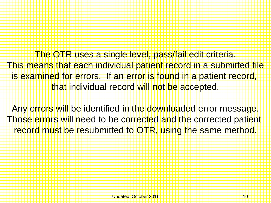The OTR uses a single level, pass/fail edit criteria. This means that each individual patient record in a submitted file is examined for errors. If an error is found in a patient record, that individual record will not be accepted.

Any errors will be identified in the downloaded error message. Those errors will need to be corrected and the corrected patient record must be resubmitted to OTR, using the same method.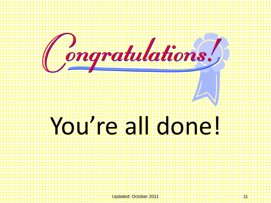